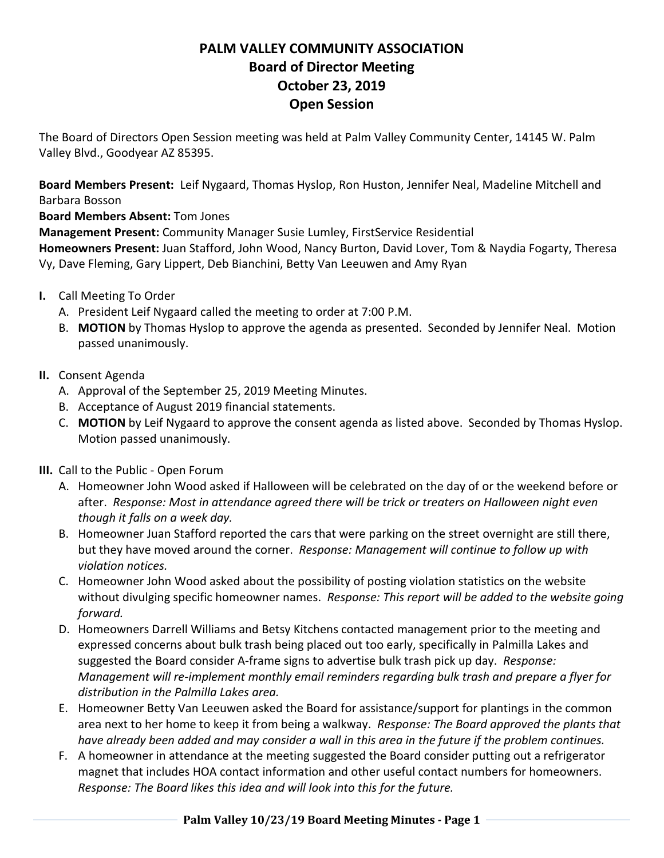## **PALM VALLEY COMMUNITY ASSOCIATION Board of Director Meeting October 23, 2019 Open Session**

The Board of Directors Open Session meeting was held at Palm Valley Community Center, 14145 W. Palm Valley Blvd., Goodyear AZ 85395.

**Board Members Present:** Leif Nygaard, Thomas Hyslop, Ron Huston, Jennifer Neal, Madeline Mitchell and Barbara Bosson

**Board Members Absent:** Tom Jones

**Management Present:** Community Manager Susie Lumley, FirstService Residential

**Homeowners Present:** Juan Stafford, John Wood, Nancy Burton, David Lover, Tom & Naydia Fogarty, Theresa Vy, Dave Fleming, Gary Lippert, Deb Bianchini, Betty Van Leeuwen and Amy Ryan

- **I.** Call Meeting To Order
	- A. President Leif Nygaard called the meeting to order at 7:00 P.M.
	- B. **MOTION** by Thomas Hyslop to approve the agenda as presented. Seconded by Jennifer Neal. Motion passed unanimously.
- **II.** Consent Agenda
	- A. Approval of the September 25, 2019 Meeting Minutes.
	- B. Acceptance of August 2019 financial statements.
	- C. **MOTION** by Leif Nygaard to approve the consent agenda as listed above. Seconded by Thomas Hyslop. Motion passed unanimously.
- **III.** Call to the Public Open Forum
	- A. Homeowner John Wood asked if Halloween will be celebrated on the day of or the weekend before or after. *Response: Most in attendance agreed there will be trick or treaters on Halloween night even though it falls on a week day.*
	- B. Homeowner Juan Stafford reported the cars that were parking on the street overnight are still there, but they have moved around the corner. *Response: Management will continue to follow up with violation notices.*
	- C. Homeowner John Wood asked about the possibility of posting violation statistics on the website without divulging specific homeowner names. *Response: This report will be added to the website going forward.*
	- D. Homeowners Darrell Williams and Betsy Kitchens contacted management prior to the meeting and expressed concerns about bulk trash being placed out too early, specifically in Palmilla Lakes and suggested the Board consider A-frame signs to advertise bulk trash pick up day. *Response: Management will re-implement monthly email reminders regarding bulk trash and prepare a flyer for distribution in the Palmilla Lakes area.*
	- E. Homeowner Betty Van Leeuwen asked the Board for assistance/support for plantings in the common area next to her home to keep it from being a walkway. *Response: The Board approved the plants that have already been added and may consider a wall in this area in the future if the problem continues.*
	- F. A homeowner in attendance at the meeting suggested the Board consider putting out a refrigerator magnet that includes HOA contact information and other useful contact numbers for homeowners. *Response: The Board likes this idea and will look into this for the future.*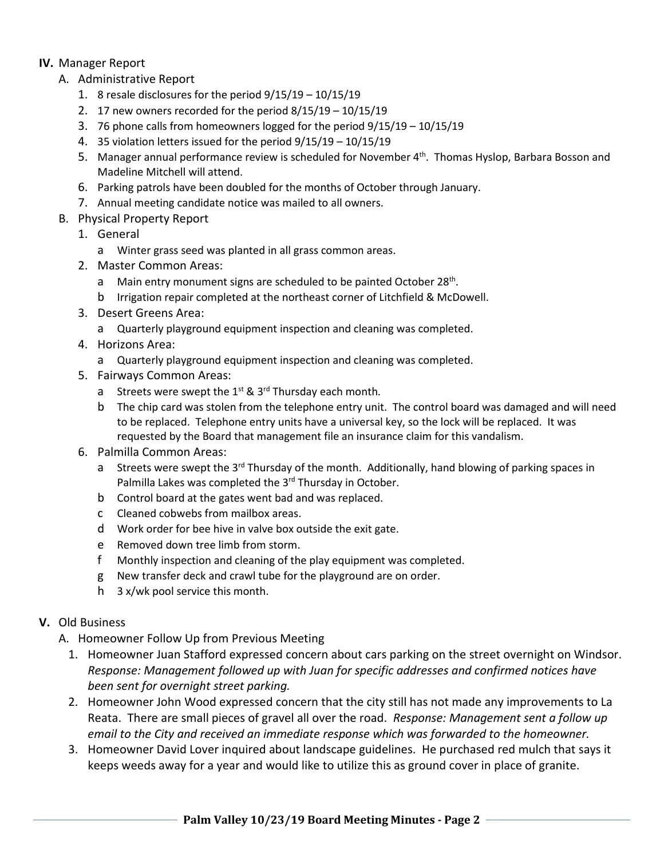## **IV.** Manager Report

- A. Administrative Report
	- 1. 8 resale disclosures for the period 9/15/19 10/15/19
	- 2. 17 new owners recorded for the period 8/15/19 10/15/19
	- 3. 76 phone calls from homeowners logged for the period 9/15/19 10/15/19
	- 4. 35 violation letters issued for the period 9/15/19 10/15/19
	- 5. Manager annual performance review is scheduled for November 4<sup>th</sup>. Thomas Hyslop, Barbara Bosson and Madeline Mitchell will attend.
	- 6. Parking patrols have been doubled for the months of October through January.
	- 7. Annual meeting candidate notice was mailed to all owners.
- B. Physical Property Report
	- 1. General
		- a Winter grass seed was planted in all grass common areas.
	- 2. Master Common Areas:
		- a Main entry monument signs are scheduled to be painted October 28<sup>th</sup>.
		- b Irrigation repair completed at the northeast corner of Litchfield & McDowell.
	- 3. Desert Greens Area:
		- a Quarterly playground equipment inspection and cleaning was completed.
	- 4. Horizons Area:
		- a Quarterly playground equipment inspection and cleaning was completed.
	- 5. Fairways Common Areas:
		- a Streets were swept the  $1^{st}$  &  $3^{rd}$  Thursday each month.
		- b The chip card was stolen from the telephone entry unit. The control board was damaged and will need to be replaced. Telephone entry units have a universal key, so the lock will be replaced. It was requested by the Board that management file an insurance claim for this vandalism.
	- 6. Palmilla Common Areas:
		- a Streets were swept the 3<sup>rd</sup> Thursday of the month. Additionally, hand blowing of parking spaces in Palmilla Lakes was completed the 3rd Thursday in October.
		- b Control board at the gates went bad and was replaced.
		- c Cleaned cobwebs from mailbox areas.
		- d Work order for bee hive in valve box outside the exit gate.
		- e Removed down tree limb from storm.
		- f Monthly inspection and cleaning of the play equipment was completed.
		- g New transfer deck and crawl tube for the playground are on order.
		- h 3 x/wk pool service this month.
- **V.** Old Business
	- A. Homeowner Follow Up from Previous Meeting
		- 1. Homeowner Juan Stafford expressed concern about cars parking on the street overnight on Windsor. *Response: Management followed up with Juan for specific addresses and confirmed notices have been sent for overnight street parking.*
		- 2. Homeowner John Wood expressed concern that the city still has not made any improvements to La Reata. There are small pieces of gravel all over the road. *Response: Management sent a follow up email to the City and received an immediate response which was forwarded to the homeowner.*
		- 3. Homeowner David Lover inquired about landscape guidelines. He purchased red mulch that says it keeps weeds away for a year and would like to utilize this as ground cover in place of granite.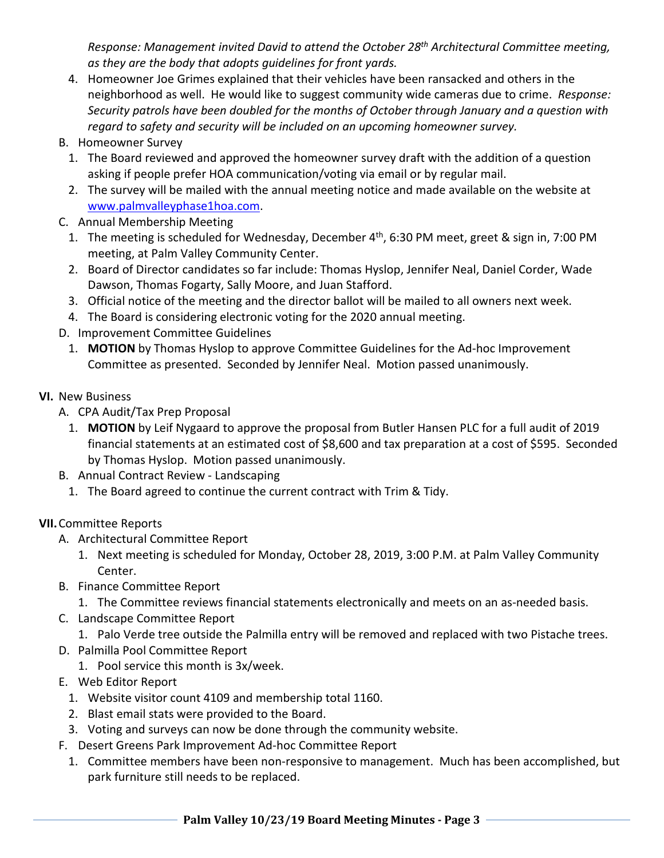*Response: Management invited David to attend the October 28th Architectural Committee meeting, as they are the body that adopts guidelines for front yards.* 

- 4. Homeowner Joe Grimes explained that their vehicles have been ransacked and others in the neighborhood as well. He would like to suggest community wide cameras due to crime. *Response: Security patrols have been doubled for the months of October through January and a question with regard to safety and security will be included on an upcoming homeowner survey.*
- B. Homeowner Survey
	- 1. The Board reviewed and approved the homeowner survey draft with the addition of a question asking if people prefer HOA communication/voting via email or by regular mail.
	- 2. The survey will be mailed with the annual meeting notice and made available on the website at www.palmvalleyphase1hoa.com.
- C. Annual Membership Meeting
	- 1. The meeting is scheduled for Wednesday, December 4<sup>th</sup>, 6:30 PM meet, greet & sign in, 7:00 PM meeting, at Palm Valley Community Center.
	- 2. Board of Director candidates so far include: Thomas Hyslop, Jennifer Neal, Daniel Corder, Wade Dawson, Thomas Fogarty, Sally Moore, and Juan Stafford.
	- 3. Official notice of the meeting and the director ballot will be mailed to all owners next week.
	- 4. The Board is considering electronic voting for the 2020 annual meeting.
- D. Improvement Committee Guidelines
	- 1. **MOTION** by Thomas Hyslop to approve Committee Guidelines for the Ad-hoc Improvement Committee as presented. Seconded by Jennifer Neal. Motion passed unanimously.
- **VI.** New Business
	- A. CPA Audit/Tax Prep Proposal
		- 1. **MOTION** by Leif Nygaard to approve the proposal from Butler Hansen PLC for a full audit of 2019 financial statements at an estimated cost of \$8,600 and tax preparation at a cost of \$595. Seconded by Thomas Hyslop. Motion passed unanimously.
	- B. Annual Contract Review Landscaping
		- 1. The Board agreed to continue the current contract with Trim & Tidy.

## **VII.**Committee Reports

- A. Architectural Committee Report
	- 1. Next meeting is scheduled for Monday, October 28, 2019, 3:00 P.M. at Palm Valley Community Center.
- B. Finance Committee Report
	- 1. The Committee reviews financial statements electronically and meets on an as-needed basis.
- C. Landscape Committee Report
	- 1. Palo Verde tree outside the Palmilla entry will be removed and replaced with two Pistache trees.
- D. Palmilla Pool Committee Report
	- 1. Pool service this month is 3x/week.
- E. Web Editor Report
	- 1. Website visitor count 4109 and membership total 1160.
	- 2. Blast email stats were provided to the Board.
	- 3. Voting and surveys can now be done through the community website.
- F. Desert Greens Park Improvement Ad-hoc Committee Report
	- 1. Committee members have been non-responsive to management. Much has been accomplished, but park furniture still needs to be replaced.